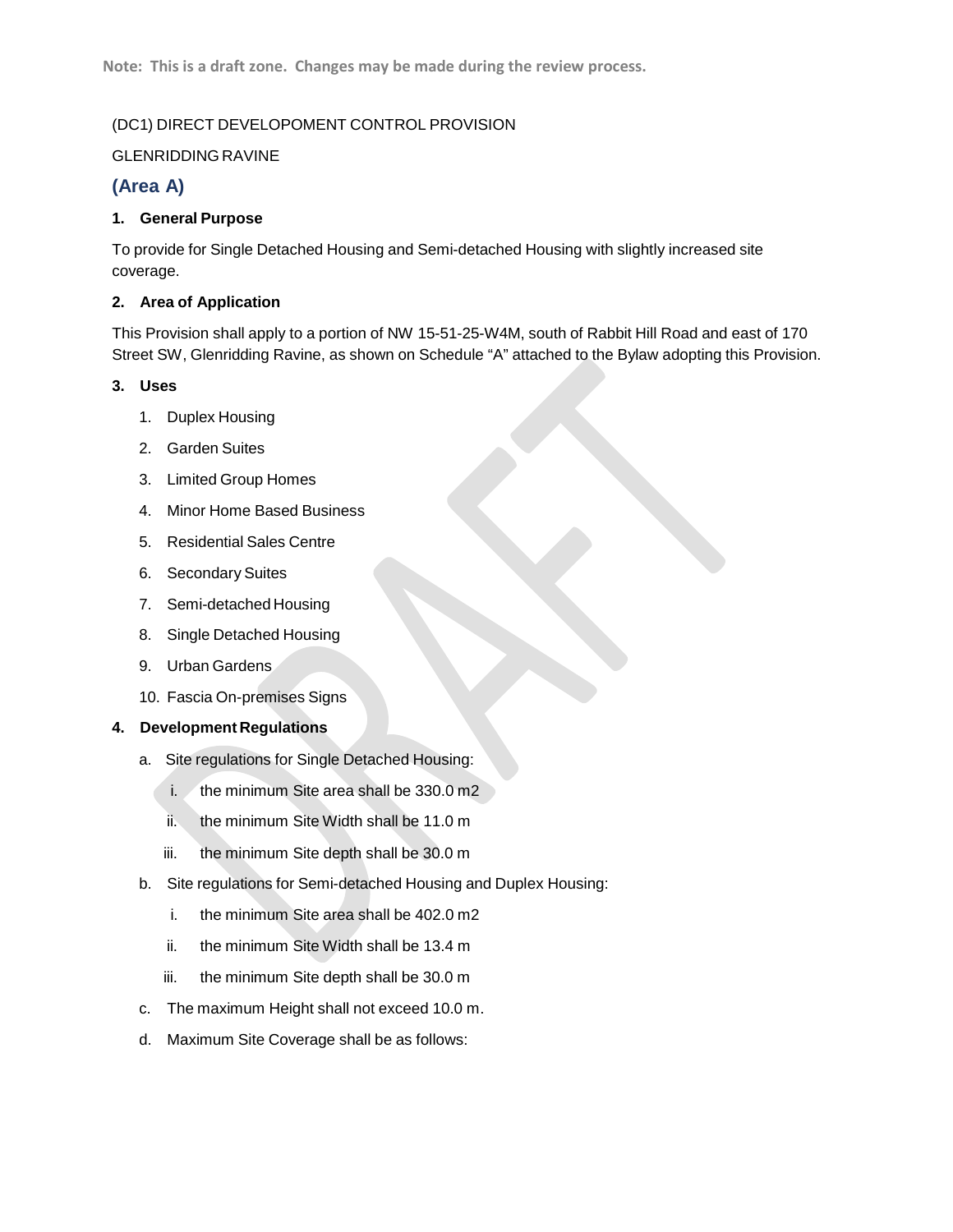## (DC1) DIRECT DEVELOPOMENT CONTROL PROVISION

## GLENRIDDING RAVINE

## **(Area A)**

## **1. General Purpose**

To provide for Single Detached Housing and Semi-detached Housing with slightly increased site coverage.

#### **2. Area of Application**

This Provision shall apply to a portion of NW 15-51-25-W4M, south of Rabbit Hill Road and east of 170 Street SW, Glenridding Ravine, as shown on Schedule "A" attached to the Bylaw adopting this Provision.

## **3. Uses**

- 1. Duplex Housing
- 2. Garden Suites
- 3. Limited Group Homes
- 4. Minor Home Based Business
- 5. Residential Sales Centre
- 6. Secondary Suites
- 7. Semi-detached Housing
- 8. Single Detached Housing
- 9. Urban Gardens
- 10. Fascia On-premises Signs

#### **4. Development Regulations**

- a. Site regulations for Single Detached Housing:
	- i. the minimum Site area shall be  $330.0 \text{ m2}$
	- ii. the minimum Site Width shall be 11.0 m
	- iii. the minimum Site depth shall be 30.0 m
- b. Site regulations for Semi-detached Housing and Duplex Housing:
	- i. the minimum Site area shall be 402.0 m2
	- ii. the minimum Site Width shall be 13.4 m
	- iii. the minimum Site depth shall be 30.0 m
- c. The maximum Height shall not exceed 10.0 m.
- d. Maximum Site Coverage shall be as follows: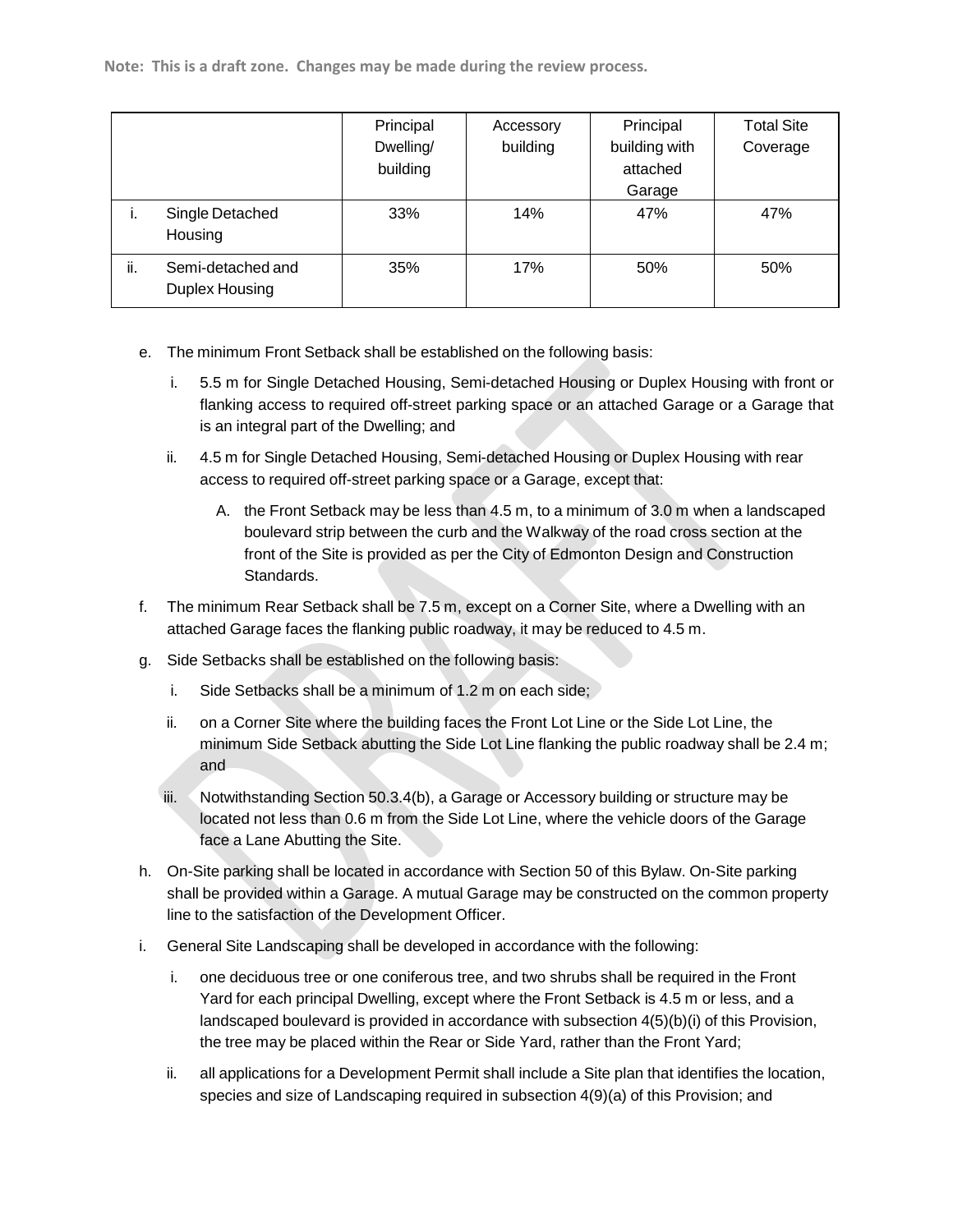**Note: This is a draft zone. Changes may be made during the review process.**

|     |                                     | Principal<br>Dwelling/<br>building | Accessory<br>building | Principal<br>building with<br>attached<br>Garage | <b>Total Site</b><br>Coverage |
|-----|-------------------------------------|------------------------------------|-----------------------|--------------------------------------------------|-------------------------------|
| .,  | Single Detached<br>Housing          | 33%                                | 14%                   | 47%                                              | 47%                           |
| ii. | Semi-detached and<br>Duplex Housing | 35%                                | 17%                   | 50%                                              | 50%                           |

- e. The minimum Front Setback shall be established on the following basis:
	- i. 5.5 m for Single Detached Housing, Semi-detached Housing or Duplex Housing with front or flanking access to required off-street parking space or an attached Garage or a Garage that is an integral part of the Dwelling; and
	- ii. 4.5 m for Single Detached Housing, Semi-detached Housing or Duplex Housing with rear access to required off-street parking space or a Garage, except that:
		- A. the Front Setback may be less than 4.5 m, to a minimum of 3.0 m when a landscaped boulevard strip between the curb and the Walkway of the road cross section at the front of the Site is provided as per the City of Edmonton Design and Construction Standards.
- f. The minimum Rear Setback shall be 7.5 m, except on a Corner Site, where a Dwelling with an attached Garage faces the flanking public roadway, it may be reduced to 4.5 m.
- g. Side Setbacks shall be established on the following basis:
	- i. Side Setbacks shall be a minimum of 1.2 m on each side;
	- ii. on a Corner Site where the building faces the Front Lot Line or the Side Lot Line, the minimum Side Setback abutting the Side Lot Line flanking the public roadway shall be 2.4 m; and
	- iii. Notwithstanding Section 50.3.4(b), a Garage or Accessory building or structure may be located not less than 0.6 m from the Side Lot Line, where the vehicle doors of the Garage face a Lane Abutting the Site.
- h. On-Site parking shall be located in accordance with Section 50 of this Bylaw. On-Site parking shall be provided within a Garage. A mutual Garage may be constructed on the common property line to the satisfaction of the Development Officer.
- i. General Site Landscaping shall be developed in accordance with the following:
	- i. one deciduous tree or one coniferous tree, and two shrubs shall be required in the Front Yard for each principal Dwelling, except where the Front Setback is 4.5 m or less, and a landscaped boulevard is provided in accordance with subsection 4(5)(b)(i) of this Provision, the tree may be placed within the Rear or Side Yard, rather than the Front Yard;
	- ii. all applications for a Development Permit shall include a Site plan that identifies the location, species and size of Landscaping required in subsection 4(9)(a) of this Provision; and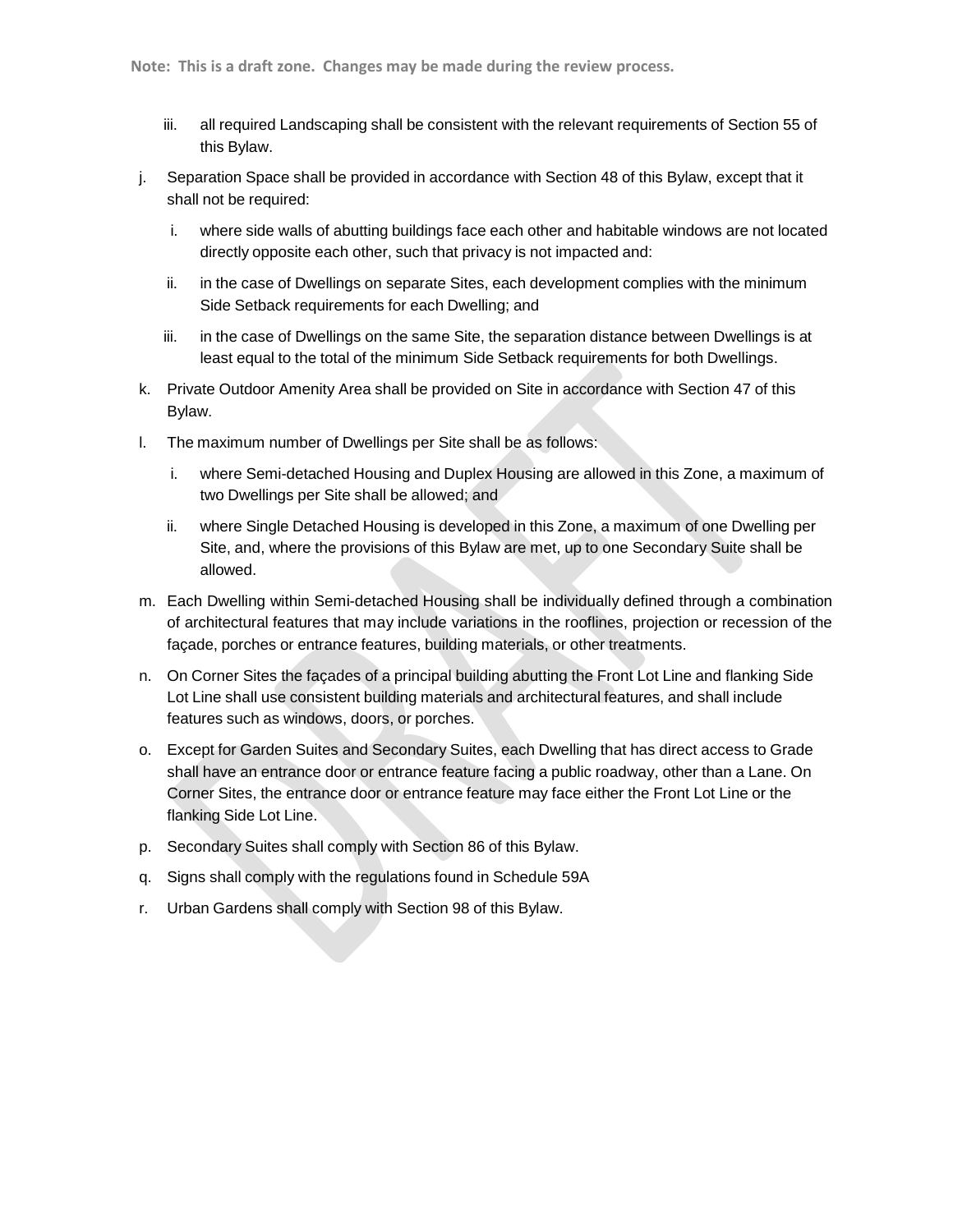- iii. all required Landscaping shall be consistent with the relevant requirements of Section 55 of this Bylaw.
- j. Separation Space shall be provided in accordance with Section 48 of this Bylaw, except that it shall not be required:
	- i. where side walls of abutting buildings face each other and habitable windows are not located directly opposite each other, such that privacy is not impacted and:
	- ii. in the case of Dwellings on separate Sites, each development complies with the minimum Side Setback requirements for each Dwelling; and
	- iii. in the case of Dwellings on the same Site, the separation distance between Dwellings is at least equal to the total of the minimum Side Setback requirements for both Dwellings.
- k. Private Outdoor Amenity Area shall be provided on Site in accordance with Section 47 of this Bylaw.
- l. The maximum number of Dwellings per Site shall be as follows:
	- i. where Semi-detached Housing and Duplex Housing are allowed in this Zone, a maximum of two Dwellings per Site shall be allowed; and
	- ii. where Single Detached Housing is developed in this Zone, a maximum of one Dwelling per Site, and, where the provisions of this Bylaw are met, up to one Secondary Suite shall be allowed.
- m. Each Dwelling within Semi-detached Housing shall be individually defined through a combination of architectural features that may include variations in the rooflines, projection or recession of the façade, porches or entrance features, building materials, or other treatments.
- n. On Corner Sites the façades of a principal building abutting the Front Lot Line and flanking Side Lot Line shall use consistent building materials and architectural features, and shall include features such as windows, doors, or porches.
- o. Except for Garden Suites and Secondary Suites, each Dwelling that has direct access to Grade shall have an entrance door or entrance feature facing a public roadway, other than a Lane. On Corner Sites, the entrance door or entrance feature may face either the Front Lot Line or the flanking Side Lot Line.
- p. Secondary Suites shall comply with Section 86 of this Bylaw.
- q. Signs shall comply with the regulations found in Schedule 59A
- r. Urban Gardens shall comply with Section 98 of this Bylaw.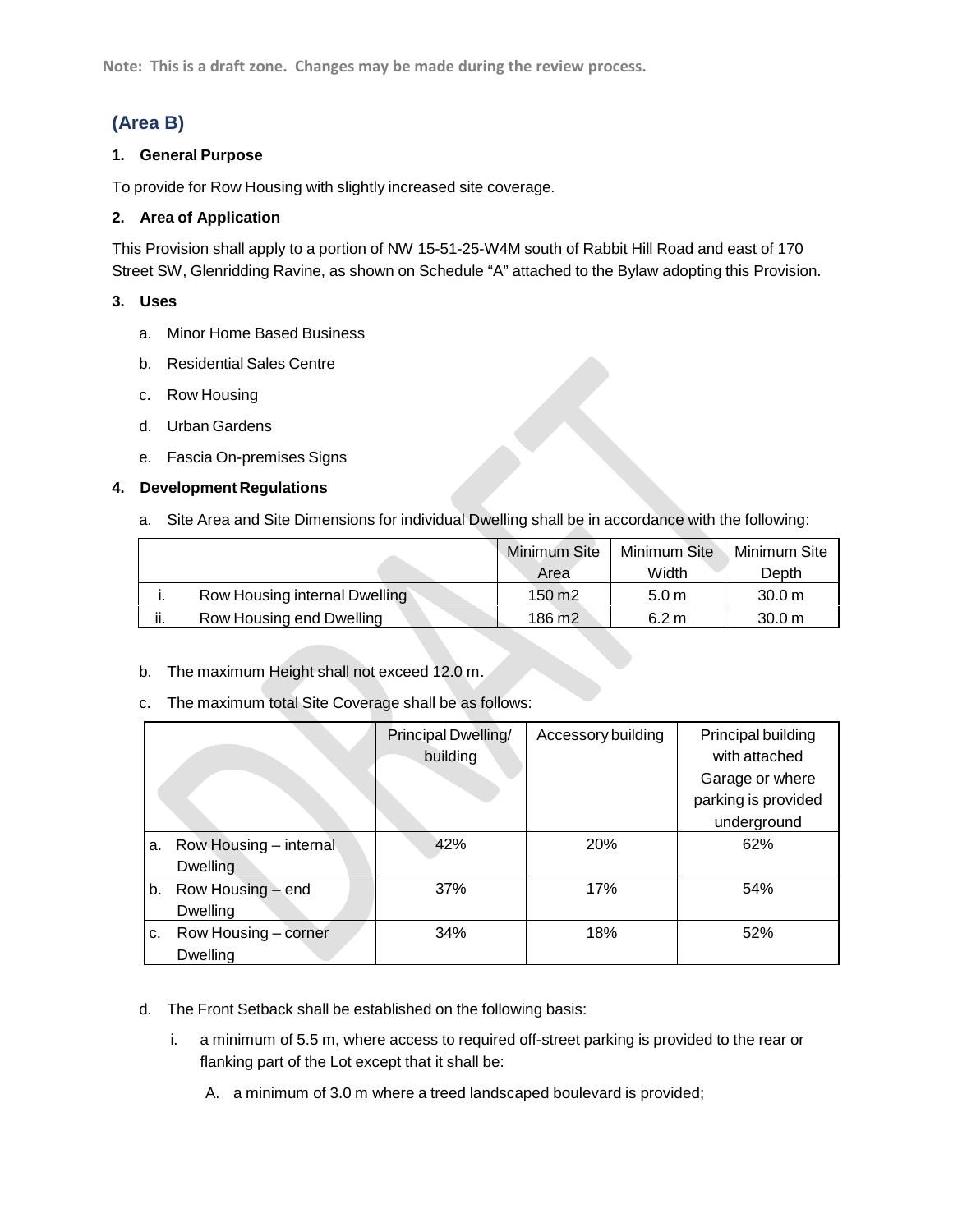**Note: This is a draft zone. Changes may be made during the review process.**

# **(Area B)**

#### **1. General Purpose**

To provide for Row Housing with slightly increased site coverage.

#### **2. Area of Application**

This Provision shall apply to a portion of NW 15-51-25-W4M south of Rabbit Hill Road and east of 170 Street SW, Glenridding Ravine, as shown on Schedule "A" attached to the Bylaw adopting this Provision.

#### **3. Uses**

- a. Minor Home Based Business
- b. Residential Sales Centre
- c. Row Housing
- d. Urban Gardens
- e. Fascia On-premises Signs

## **4. Development Regulations**

a. Site Area and Site Dimensions for individual Dwelling shall be in accordance with the following:

|     |                               | <b>Minimum Site</b> | Minimum Site     | Minimum Site      |
|-----|-------------------------------|---------------------|------------------|-------------------|
|     |                               | Area                | Width            | Depth             |
|     | Row Housing internal Dwelling | 150 m <sub>2</sub>  | 5.0 <sub>m</sub> | 30.0 m            |
| ii. | Row Housing end Dwelling      | 186 m <sub>2</sub>  | 6.2 m            | 30.0 <sub>m</sub> |

- b. The maximum Height shall not exceed 12.0 m.
- c. The maximum total Site Coverage shall be as follows:

|    |                        | Principal Dwelling/ | Accessory building | Principal building  |
|----|------------------------|---------------------|--------------------|---------------------|
|    |                        | building            |                    | with attached       |
|    |                        |                     |                    | Garage or where     |
|    |                        |                     |                    | parking is provided |
|    |                        |                     |                    | underground         |
| а. | Row Housing - internal | 42%                 | 20%                | 62%                 |
|    | <b>Dwelling</b>        |                     |                    |                     |
|    | b. Row Housing – end   | 37%                 | 17%                | 54%                 |
|    | Dwelling               |                     |                    |                     |
| c. | Row Housing - corner   | 34%                 | 18%                | 52%                 |
|    | Dwelling               |                     |                    |                     |

- d. The Front Setback shall be established on the following basis:
	- i. a minimum of 5.5 m, where access to required off-street parking is provided to the rear or flanking part of the Lot except that it shall be:
		- A. a minimum of 3.0 m where a treed landscaped boulevard is provided;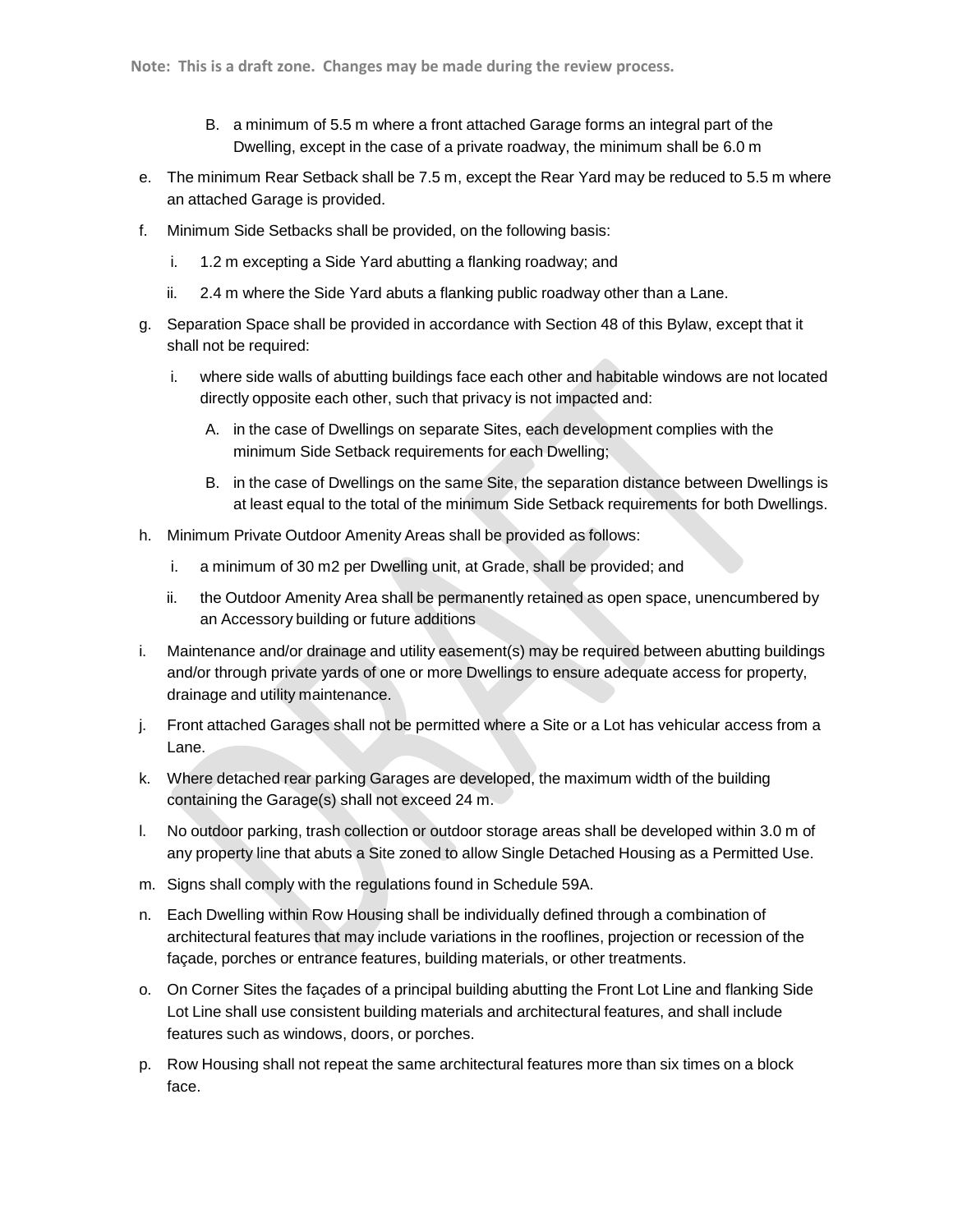- B. a minimum of 5.5 m where a front attached Garage forms an integral part of the Dwelling, except in the case of a private roadway, the minimum shall be 6.0 m
- e. The minimum Rear Setback shall be 7.5 m, except the Rear Yard may be reduced to 5.5 m where an attached Garage is provided.
- f. Minimum Side Setbacks shall be provided, on the following basis:
	- i. 1.2 m excepting a Side Yard abutting a flanking roadway; and
	- ii. 2.4 m where the Side Yard abuts a flanking public roadway other than a Lane.
- g. Separation Space shall be provided in accordance with Section 48 of this Bylaw, except that it shall not be required:
	- i. where side walls of abutting buildings face each other and habitable windows are not located directly opposite each other, such that privacy is not impacted and:
		- A. in the case of Dwellings on separate Sites, each development complies with the minimum Side Setback requirements for each Dwelling;
		- B. in the case of Dwellings on the same Site, the separation distance between Dwellings is at least equal to the total of the minimum Side Setback requirements for both Dwellings.
- h. Minimum Private Outdoor Amenity Areas shall be provided as follows:
	- i. a minimum of 30 m2 per Dwelling unit, at Grade, shall be provided; and
	- ii. the Outdoor Amenity Area shall be permanently retained as open space, unencumbered by an Accessory building or future additions
- i. Maintenance and/or drainage and utility easement(s) may be required between abutting buildings and/or through private yards of one or more Dwellings to ensure adequate access for property, drainage and utility maintenance.
- j. Front attached Garages shall not be permitted where a Site or a Lot has vehicular access from a Lane.
- k. Where detached rear parking Garages are developed, the maximum width of the building containing the Garage(s) shall not exceed 24 m.
- l. No outdoor parking, trash collection or outdoor storage areas shall be developed within 3.0 m of any property line that abuts a Site zoned to allow Single Detached Housing as a Permitted Use.
- m. Signs shall comply with the regulations found in Schedule 59A.
- n. Each Dwelling within Row Housing shall be individually defined through a combination of architectural features that may include variations in the rooflines, projection or recession of the façade, porches or entrance features, building materials, or other treatments.
- o. On Corner Sites the façades of a principal building abutting the Front Lot Line and flanking Side Lot Line shall use consistent building materials and architectural features, and shall include features such as windows, doors, or porches.
- p. Row Housing shall not repeat the same architectural features more than six times on a block face.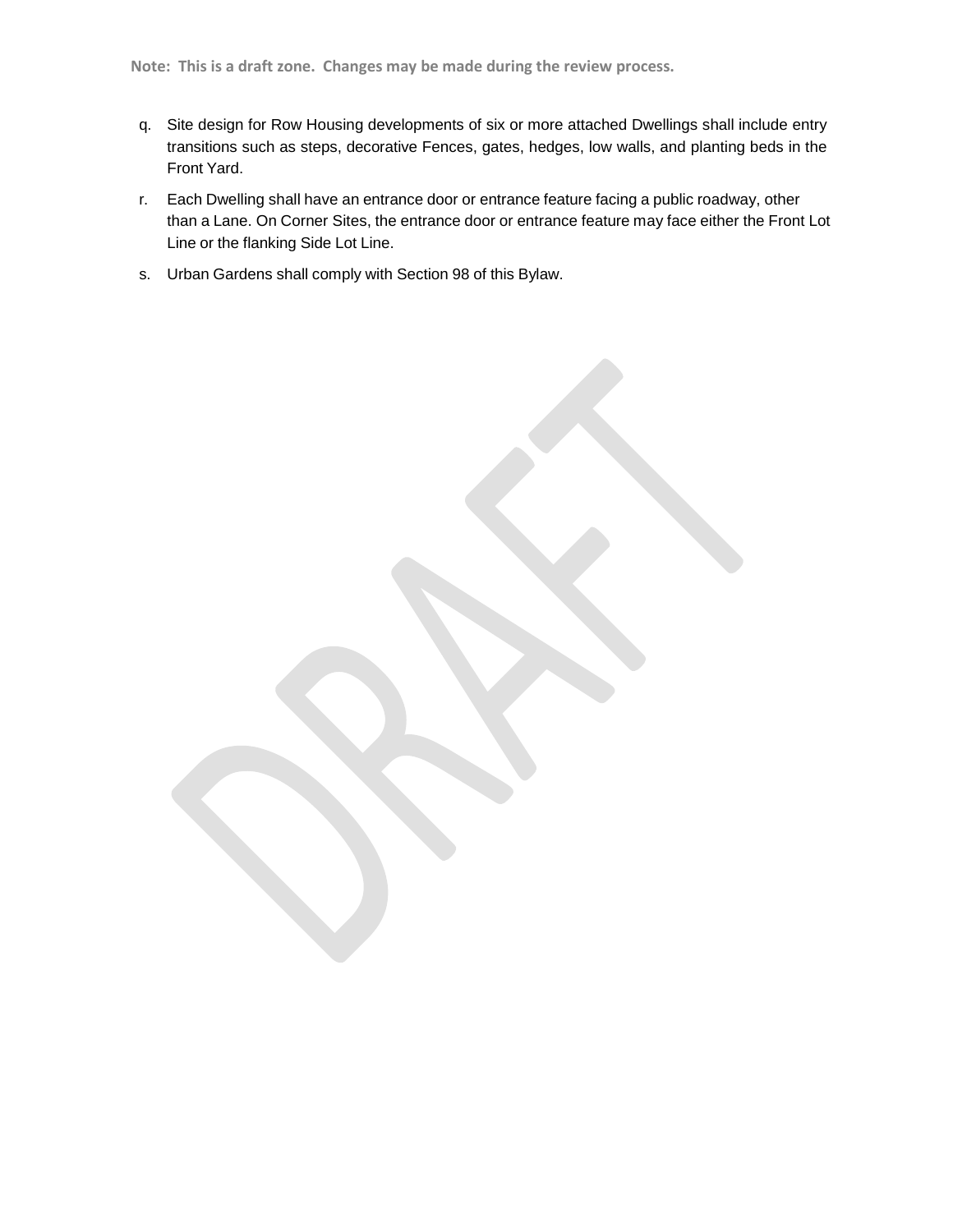- q. Site design for Row Housing developments of six or more attached Dwellings shall include entry transitions such as steps, decorative Fences, gates, hedges, low walls, and planting beds in the Front Yard.
- r. Each Dwelling shall have an entrance door or entrance feature facing a public roadway, other than a Lane. On Corner Sites, the entrance door or entrance feature may face either the Front Lot Line or the flanking Side Lot Line.
- s. Urban Gardens shall comply with Section 98 of this Bylaw.